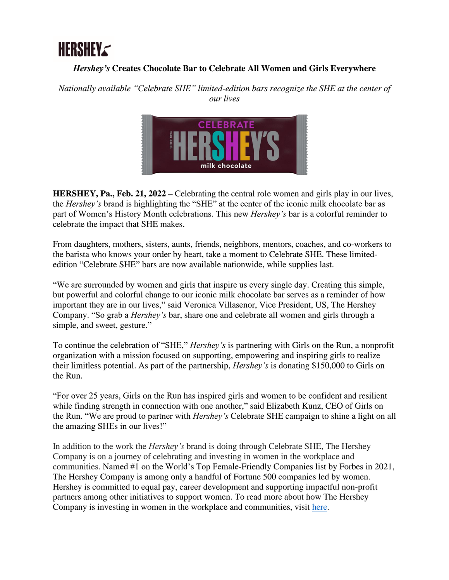## **HERSHEY<**

### *Hershey's* **Creates Chocolate Bar to Celebrate All Women and Girls Everywhere**

*Nationally available "Celebrate SHE" limited-edition bars recognize the SHE at the center of our lives* 



**HERSHEY, Pa., Feb. 21, 2022 –** Celebrating the central role women and girls play in our lives, the *Hershey's* brand is highlighting the "SHE" at the center of the iconic milk chocolate bar as part of Women's History Month celebrations. This new *Hershey's* bar is a colorful reminder to celebrate the impact that SHE makes.

From daughters, mothers, sisters, aunts, friends, neighbors, mentors, coaches, and co-workers to the barista who knows your order by heart, take a moment to Celebrate SHE. These limitededition "Celebrate SHE" bars are now available nationwide, while supplies last.

"We are surrounded by women and girls that inspire us every single day. Creating this simple, but powerful and colorful change to our iconic milk chocolate bar serves as a reminder of how important they are in our lives," said Veronica Villasenor, Vice President, US, The Hershey Company. "So grab a *Hershey's* bar, share one and celebrate all women and girls through a simple, and sweet, gesture."

To continue the celebration of "SHE," *Hershey's* is partnering with Girls on the Run, a nonprofit organization with a mission focused on supporting, empowering and inspiring girls to realize their limitless potential. As part of the partnership, *Hershey's* is donating \$150,000 to Girls on the Run.

"For over 25 years, Girls on the Run has inspired girls and women to be confident and resilient while finding strength in connection with one another," said Elizabeth Kunz, CEO of Girls on the Run. "We are proud to partner with *Hershey's* Celebrate SHE campaign to shine a light on all the amazing SHEs in our lives!"

In addition to the work the *Hershey's* brand is doing through Celebrate SHE, The Hershey Company is on a journey of celebrating and investing in women in the workplace and communities. Named #1 on the World's Top Female-Friendly Companies list by Forbes in 2021, The Hershey Company is among only a handful of Fortune 500 companies led by women. Hershey is committed to equal pay, career development and supporting impactful non-profit partners among other initiatives to support women. To read more about how The Hershey Company is investing in women in the workplace and communities, visit [here.](https://www.thehersheycompany.com/en_us/home/newsroom/blog/a-journey-of-intentional-actions-what-it-takes-to-be-named-the-worlds-top-female-friendly-company.html)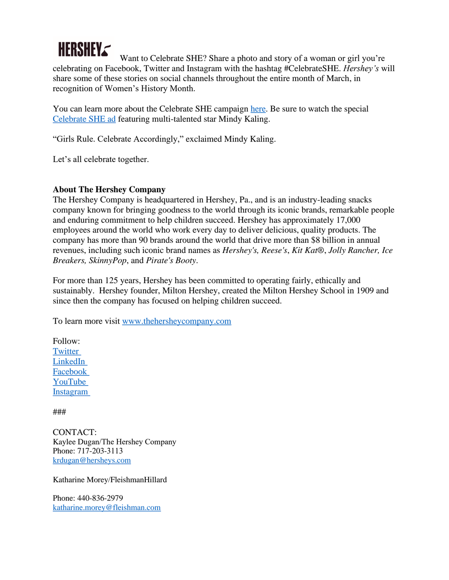# **HERSHEYS**

Want to Celebrate SHE? Share a photo and story of a woman or girl you're celebrating on Facebook, Twitter and Instagram with the hashtag #CelebrateSHE. *Hershey's* will share some of these stories on social channels throughout the entire month of March, in recognition of Women's History Month.

You can learn more about the Celebrate SHE campaign [here.](https://www.hersheyland.com/hersheys) Be sure to watch the special [Celebrate SHE ad](https://www.youtube.com/watch?v=ZnZviPXGZZE) featuring multi-talented star Mindy Kaling.

"Girls Rule. Celebrate Accordingly," exclaimed Mindy Kaling.

Let's all celebrate together.

#### **About The Hershey Company**

The Hershey Company is headquartered in Hershey, Pa., and is an industry-leading snacks company known for bringing goodness to the world through its iconic brands, remarkable people and enduring commitment to help children succeed. Hershey has approximately 17,000 employees around the world who work every day to deliver delicious, quality products. The company has more than 90 brands around the world that drive more than \$8 billion in annual revenues, including such iconic brand names as *Hershey's, Reese's*, *Kit Kat®*, *Jolly Rancher, Ice Breakers, SkinnyPop*, and *Pirate's Booty*.

For more than 125 years, Hershey has been committed to operating fairly, ethically and sustainably. Hershey founder, Milton Hershey, created the Milton Hershey School in 1909 and since then the company has focused on helping children succeed.

To learn more visit [www.thehersheycompany.com](https://urldefense.com/v3/__https:/nam11.safelinks.protection.outlook.com/?url=https*3A*2F*2Fwww.globenewswire.com*2FTracker*3Fdata*3D_IE9JqKSyrOVcZW101G9-94buLvsr5kg4N_lpSXgOFcLLyxdpKTV2RcfLtjoX6sDnsM1-4ohjJ0vF4NNzcI47RXUi14rAItVGUYBm-Wh_ns*3D&data=04*7C01*7Ckrdugan*40hersheys.com*7C253068144d6f4a91f48f08d9dc4e3b1c*7C90254b37ddd64784a73c67a28484e423*7C0*7C0*7C637783050948600317*7CUnknown*7CTWFpbGZsb3d8eyJWIjoiMC4wLjAwMDAiLCJQIjoiV2luMzIiLCJBTiI6Ik1haWwiLCJXVCI6Mn0*3D*7C3000&sdata=tZrdwlkOavtz1iiKvQQ4ISPGCi1RObGbx3VE*2Bn8g*2BAc*3D&reserved=0__;JSUlJSUlJSUlJSUlJSUlJSUlJSUlJQ!!HhhKMSGjjQV-!p_lPzTn5Xxhdol1SwEM0LRN8VNcxxNtOuP_yN2ELruv-WhOC-oGDRmlkMHw8ozm6TR9rVA$)

Follow: **[Twitter](https://c212.net/c/link/?t=0&l=en&o=3410416-1&h=611596156&u=https%3A%2F%2Ftwitter.com%2Fhersheycompany&a=Twitter%C2%A0)** [LinkedIn](https://c212.net/c/link/?t=0&l=en&o=3410416-1&h=3870627885&u=https%3A%2F%2Fwww.linkedin.com%2Fcompany%2Fthe-hershey-company%3Ftrk%3Dtop_nav_home&a=LinkedIn%C2%A0) [Facebook](https://c212.net/c/link/?t=0&l=en&o=3410416-1&h=3472230553&u=https%3A%2F%2Fwww.facebook.com%2FHersheyCompany%2F&a=Facebook%C2%A0) [YouTube](https://c212.net/c/link/?t=0&l=en&o=3410416-1&h=676040315&u=https%3A%2F%2Fwww.youtube.com%2Fhersheycompany&a=YouTube%C2%A0) [Instagram](https://c212.net/c/link/?t=0&l=en&o=3410416-1&h=2072589090&u=https%3A%2F%2Fwww.instagram.com%2Fhersheycompany%2F&a=Instagram%C2%A0)

###

CONTACT: Kaylee Dugan/The Hershey Company  Phone: 717-203-3113  [krdugan@hersheys.com](mailto:krdugan@hersheys.com)

Katharine Morey/FleishmanHillard

Phone: 440-836-2979 [katharine.morey@fleishman.com](mailto:katharine.morey@fleishman.com)